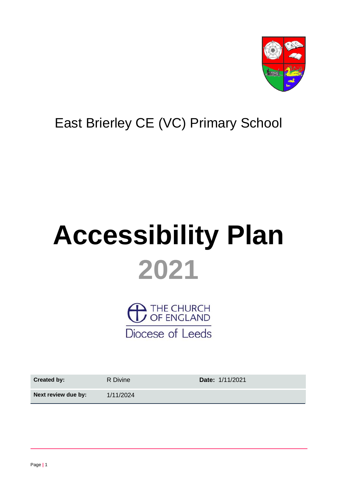

# East Brierley CE (VC) Primary School

# **Accessibility Plan 2021**

 $\overline{\phantom{a}}$  THE CHURCH<br> $\overline{\phantom{a}}$  OF ENGLAND Diocese of Leeds

| <b>Created by:</b>  | R Divine  | Date: 1/11/2021 |
|---------------------|-----------|-----------------|
| Next review due by: | 1/11/2024 |                 |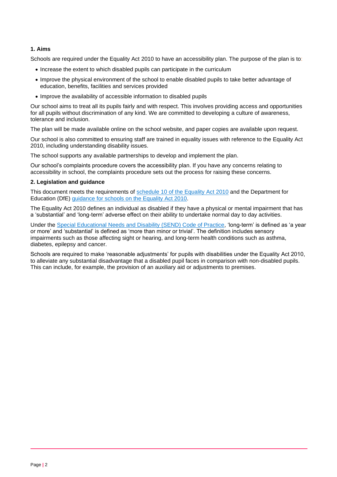#### **1. Aims**

Schools are required under the Equality Act 2010 to have an accessibility plan. The purpose of the plan is to:

- Increase the extent to which disabled pupils can participate in the curriculum
- Improve the physical environment of the school to enable disabled pupils to take better advantage of education, benefits, facilities and services provided
- Improve the availability of accessible information to disabled pupils

Our school aims to treat all its pupils fairly and with respect. This involves providing access and opportunities for all pupils without discrimination of any kind. We are committed to developing a culture of awareness, tolerance and inclusion.

The plan will be made available online on the school website, and paper copies are available upon request.

Our school is also committed to ensuring staff are trained in equality issues with reference to the Equality Act 2010, including understanding disability issues.

The school supports any available partnerships to develop and implement the plan.

Our school's complaints procedure covers the accessibility plan. If you have any concerns relating to accessibility in school, the complaints procedure sets out the process for raising these concerns.

#### **2. Legislation and guidance**

This document meets the requirements of [schedule 10 of the Equality Act 2010](http://www.legislation.gov.uk/ukpga/2010/15/schedule/10) and the Department for Education (DfE) [guidance for schools on the Equality Act 2010.](https://www.gov.uk/government/publications/equality-act-2010-advice-for-schools)

The Equality Act 2010 defines an individual as disabled if they have a physical or mental impairment that has a 'substantial' and 'long-term' adverse effect on their ability to undertake normal day to day activities.

Under the Special [Educational Needs and Disability \(SEND\) Code of Practice,](https://www.gov.uk/government/publications/send-code-of-practice-0-to-25) 'long-term' is defined as 'a year or more' and 'substantial' is defined as 'more than minor or trivial'. The definition includes sensory impairments such as those affecting sight or hearing, and long-term health conditions such as asthma, diabetes, epilepsy and cancer.

Schools are required to make 'reasonable adjustments' for pupils with disabilities under the Equality Act 2010, to alleviate any substantial disadvantage that a disabled pupil faces in comparison with non-disabled pupils. This can include, for example, the provision of an auxiliary aid or adjustments to premises.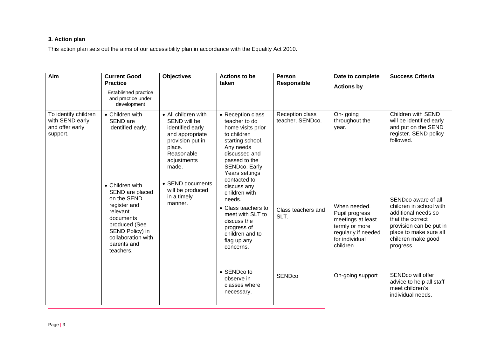## **3. Action plan**

This action plan sets out the aims of our accessibility plan in accordance with the Equality Act 2010.

| Aim                                                                    | <b>Current Good</b><br><b>Practice</b><br>Established practice<br>and practice under<br>development                                                                                                                                  | <b>Objectives</b>                                                                                                                                                                                                | <b>Actions to be</b><br>taken                                                                                                                                                                                                                                                                                                                                                                                              | <b>Person</b><br><b>Responsible</b>                                                           | Date to complete<br><b>Actions by</b>                                                                                                                                                 | <b>Success Criteria</b>                                                                                                                                                                                                                                                                                                                                                                   |
|------------------------------------------------------------------------|--------------------------------------------------------------------------------------------------------------------------------------------------------------------------------------------------------------------------------------|------------------------------------------------------------------------------------------------------------------------------------------------------------------------------------------------------------------|----------------------------------------------------------------------------------------------------------------------------------------------------------------------------------------------------------------------------------------------------------------------------------------------------------------------------------------------------------------------------------------------------------------------------|-----------------------------------------------------------------------------------------------|---------------------------------------------------------------------------------------------------------------------------------------------------------------------------------------|-------------------------------------------------------------------------------------------------------------------------------------------------------------------------------------------------------------------------------------------------------------------------------------------------------------------------------------------------------------------------------------------|
| To identify children<br>with SEND early<br>and offer early<br>support. | • Children with<br>SEND are<br>identified early.<br>• Children with<br>SEND are placed<br>on the SEND<br>register and<br>relevant<br>documents<br>produced (See<br>SEND Policy) in<br>collaboration with<br>parents and<br>teachers. | • All children with<br>SEND will be<br>identified early<br>and appropriate<br>provision put in<br>place.<br>Reasonable<br>adjustments<br>made.<br>• SEND documents<br>will be produced<br>in a timely<br>manner. | • Reception class<br>teacher to do<br>home visits prior<br>to children<br>starting school.<br>Any needs<br>discussed and<br>passed to the<br>SENDco. Early<br>Years settings<br>contacted to<br>discuss any<br>children with<br>needs.<br>• Class teachers to<br>meet with SLT to<br>discuss the<br>progress of<br>children and to<br>flag up any<br>concerns.<br>• SENDco to<br>observe in<br>classes where<br>necessary. | Reception class<br>teacher, SENDco.<br>Class teachers and<br>SLT.<br><b>SEND<sub>co</sub></b> | On-going<br>throughout the<br>year.<br>When needed.<br>Pupil progress<br>meetings at least<br>termly or more<br>regularly if needed<br>for individual<br>children<br>On-going support | Children with SEND<br>will be identified early<br>and put on the SEND<br>register. SEND policy<br>followed.<br>SENDco aware of all<br>children in school with<br>additional needs so<br>that the correct<br>provision can be put in<br>place to make sure all<br>children make good<br>progress.<br>SENDco will offer<br>advice to help all staff<br>meet children's<br>individual needs. |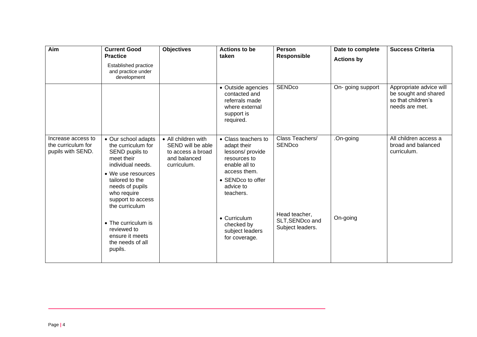| Aim                                                           | <b>Current Good</b><br><b>Practice</b><br>Established practice<br>and practice under<br>development                                                                                                              | <b>Objectives</b>                                                                            | <b>Actions to be</b><br>taken                                                                                                                                         | <b>Person</b><br><b>Responsible</b>               | Date to complete<br><b>Actions by</b> | <b>Success Criteria</b>                                                                 |
|---------------------------------------------------------------|------------------------------------------------------------------------------------------------------------------------------------------------------------------------------------------------------------------|----------------------------------------------------------------------------------------------|-----------------------------------------------------------------------------------------------------------------------------------------------------------------------|---------------------------------------------------|---------------------------------------|-----------------------------------------------------------------------------------------|
|                                                               |                                                                                                                                                                                                                  |                                                                                              | • Outside agencies<br>contacted and<br>referrals made<br>where external<br>support is<br>required.                                                                    | <b>SEND<sub>co</sub></b>                          | On-going support                      | Appropriate advice will<br>be sought and shared<br>so that children's<br>needs are met. |
| Increase access to<br>the curriculum for<br>pupils with SEND. | • Our school adapts<br>the curriculum for<br>SEND pupils to<br>meet their<br>individual needs.<br>• We use resources<br>tailored to the<br>needs of pupils<br>who require<br>support to access<br>the curriculum | • All children with<br>SEND will be able<br>to access a broad<br>and balanced<br>curriculum. | • Class teachers to<br>adapt their<br>lessons/provide<br>resources to<br>enable all to<br>access them.<br>• SENDco to offer<br>advice to<br>teachers.<br>• Curriculum | Class Teachers/<br><b>SENDco</b><br>Head teacher, | .On-going<br>On-going                 | All children access a<br>broad and balanced<br>curriculum.                              |
|                                                               | • The curriculum is<br>reviewed to<br>ensure it meets<br>the needs of all<br>pupils.                                                                                                                             |                                                                                              | checked by<br>subject leaders<br>for coverage.                                                                                                                        | SLT, SENDco and<br>Subject leaders.               |                                       |                                                                                         |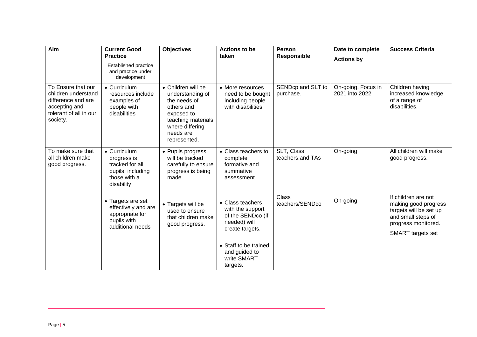| Aim                                                                                                                    | <b>Current Good</b>                                                                               | <b>Objectives</b>                                                                                                                                        | <b>Actions to be</b>                                                                         | Person                         | Date to complete                     | <b>Success Criteria</b>                                                                                                                        |
|------------------------------------------------------------------------------------------------------------------------|---------------------------------------------------------------------------------------------------|----------------------------------------------------------------------------------------------------------------------------------------------------------|----------------------------------------------------------------------------------------------|--------------------------------|--------------------------------------|------------------------------------------------------------------------------------------------------------------------------------------------|
|                                                                                                                        | <b>Practice</b><br>Established practice<br>and practice under<br>development                      |                                                                                                                                                          | taken                                                                                        | <b>Responsible</b>             | <b>Actions by</b>                    |                                                                                                                                                |
| To Ensure that our<br>children understand<br>difference and are<br>accepting and<br>tolerant of all in our<br>society. | • Curriculum<br>resources include<br>examples of<br>people with<br>disabilities                   | • Children will be<br>understanding of<br>the needs of<br>others and<br>exposed to<br>teaching materials<br>where differing<br>needs are<br>represented. | • More resources<br>need to be bought<br>including people<br>with disabilities.              | SENDcp and SLT to<br>purchase. | On-going. Focus in<br>2021 into 2022 | Children having<br>increased knowledge<br>of a range of<br>disabilities.                                                                       |
| To make sure that<br>all children make<br>good progress.                                                               | • Curriculum<br>progress is<br>tracked for all<br>pupils, including<br>those with a<br>disability | • Pupils progress<br>will be tracked<br>carefully to ensure<br>progress is being<br>made.                                                                | • Class teachers to<br>complete<br>formative and<br>summative<br>assessment.                 | SLT, Class<br>teachers.and TAs | On-going                             | All children will make<br>good progress.                                                                                                       |
|                                                                                                                        | • Targets are set<br>effectively and are<br>appropriate for<br>pupils with<br>additional needs    | • Targets will be<br>used to ensure<br>that children make<br>good progress.                                                                              | • Class teachers<br>with the support<br>of the SENDco (if<br>needed) will<br>create targets. | Class<br>teachers/SENDco       | On-going                             | If children are not<br>making good progress<br>targets will be set up<br>and small steps of<br>progress monitored.<br><b>SMART</b> targets set |
|                                                                                                                        |                                                                                                   |                                                                                                                                                          | • Staff to be trained<br>and guided to<br>write SMART<br>targets.                            |                                |                                      |                                                                                                                                                |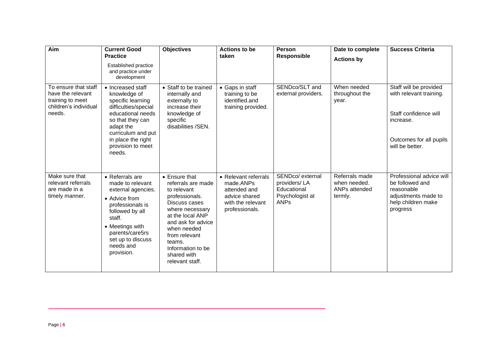| Aim                                                                                              | <b>Current Good</b><br><b>Practice</b><br>Established practice<br>and practice under<br>development                                                                                                               | <b>Objectives</b>                                                                                                                                                                                                                                   | <b>Actions to be</b><br>taken                                                                             | <b>Person</b><br><b>Responsible</b>                                               | Date to complete<br><b>Actions by</b>                      | <b>Success Criteria</b>                                                                                                               |
|--------------------------------------------------------------------------------------------------|-------------------------------------------------------------------------------------------------------------------------------------------------------------------------------------------------------------------|-----------------------------------------------------------------------------------------------------------------------------------------------------------------------------------------------------------------------------------------------------|-----------------------------------------------------------------------------------------------------------|-----------------------------------------------------------------------------------|------------------------------------------------------------|---------------------------------------------------------------------------------------------------------------------------------------|
| To ensure that staff<br>have the relevant<br>training to meet<br>children's individual<br>needs. | • Increased staff<br>knowledge of<br>specific learning<br>difficulties/special<br>educational needs<br>so that they can<br>adapt the<br>curriculum and put<br>in place the right<br>provision to meet<br>needs.   | • Staff to be trained<br>internally and<br>externally to<br>increase their<br>knowledge of<br>specific<br>disabilities /SEN.                                                                                                                        | • Gaps in staff<br>training to be<br>identified.and<br>training provided.                                 | SENDco/SLT and<br>external providers.                                             | When needed<br>throughout the<br>year.                     | Staff will be provided<br>with relevant training.<br>Staff confidence will<br>increase.<br>Outcomes for all pupils<br>will be better. |
| Make sure that<br>relevant referrals<br>are made in a<br>timely manner.                          | • Referrals are<br>made to relevant<br>external agencies.<br>• Advice from<br>professionals is<br>followed by all<br>staff.<br>• Meetings with<br>parents/care5rs<br>set up to discuss<br>needs and<br>provision. | • Ensure that<br>referrals are made<br>to relevant<br>professionals.<br>Discuss cases<br>where necessary<br>at the local ANP<br>and ask for advice<br>when needed<br>from relevant<br>teams.<br>Information to be<br>shared with<br>relevant staff. | • Relevant referrals<br>made.ANPs<br>attended and<br>advice shared<br>with the relevant<br>professionals. | SENDco/ external<br>providers/LA<br>Educational<br>Psychologist at<br><b>ANPs</b> | Referrals made<br>when needed.<br>ANPs attended<br>termly. | Professional advice will<br>be followed and<br>reasonable<br>adjustments made to<br>help children make<br>progress                    |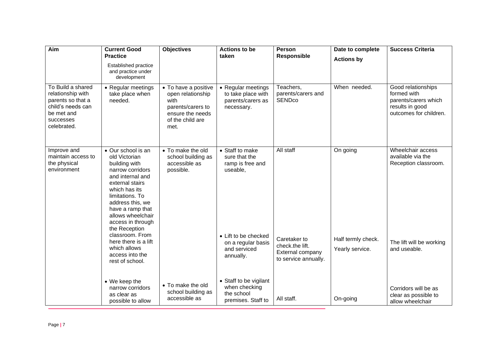| Aim                                                                                                                        | <b>Current Good</b><br><b>Practice</b>                                                                                                                                                                                                                 | <b>Objectives</b>                                                                                                      | <b>Actions to be</b><br>taken                                               | <b>Person</b><br><b>Responsible</b>                                         | Date to complete<br><b>Actions by</b> | <b>Success Criteria</b>                                                                                |
|----------------------------------------------------------------------------------------------------------------------------|--------------------------------------------------------------------------------------------------------------------------------------------------------------------------------------------------------------------------------------------------------|------------------------------------------------------------------------------------------------------------------------|-----------------------------------------------------------------------------|-----------------------------------------------------------------------------|---------------------------------------|--------------------------------------------------------------------------------------------------------|
|                                                                                                                            | Established practice<br>and practice under<br>development                                                                                                                                                                                              |                                                                                                                        |                                                                             |                                                                             |                                       |                                                                                                        |
| To Build a shared<br>relationship with<br>parents so that a<br>child's needs can<br>be met and<br>successes<br>celebrated. | • Regular meetings<br>take place when<br>needed.                                                                                                                                                                                                       | • To have a positive<br>open relationship<br>with<br>parents/carers to<br>ensure the needs<br>of the child are<br>met. | • Regular meetings<br>to take place with<br>parents/carers as<br>necessary. | Teachers,<br>parents/carers and<br><b>SENDco</b>                            | When needed.                          | Good relationships<br>formed with<br>parents/carers which<br>results in good<br>outcomes for children. |
| Improve and<br>maintain access to<br>the physical<br>environment                                                           | • Our school is an<br>old Victorian<br>building with<br>narrow corridors<br>and internal and<br>external stairs<br>which has its<br>limitations. To<br>address this, we<br>have a ramp that<br>allows wheelchair<br>access in through<br>the Reception | • To make the old<br>school building as<br>accessible as<br>possible.                                                  | • Staff to make<br>sure that the<br>ramp is free and<br>useable,            | All staff                                                                   | On going                              | Wheelchair access<br>available via the<br>Reception classroom.                                         |
|                                                                                                                            | classroom. From<br>here there is a lift<br>which allows<br>access into the<br>rest of school.                                                                                                                                                          |                                                                                                                        | • Lift to be checked<br>on a regular basis<br>and serviced<br>annually.     | Caretaker to<br>check.the lift.<br>External company<br>to service annually. | Half termly check.<br>Yearly service. | The lift will be working<br>and useable.                                                               |
|                                                                                                                            | • We keep the<br>narrow corridors<br>as clear as<br>possible to allow                                                                                                                                                                                  | • To make the old<br>school building as<br>accessible as                                                               | • Staff to be vigilant<br>when checking<br>the school<br>premises. Staff to | All staff.                                                                  | On-going                              | Corridors will be as<br>clear as possible to<br>allow wheelchair                                       |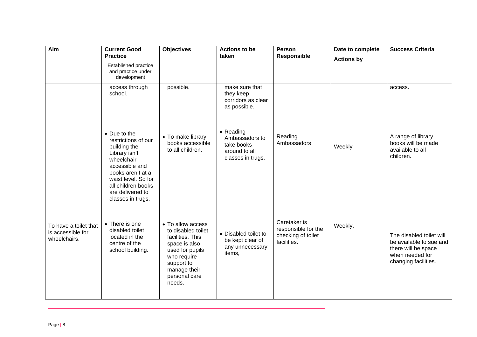| Aim                                                        | <b>Current Good</b><br><b>Practice</b>                                                                                                                                                                          | <b>Objectives</b>                                                                                                                                                       | <b>Actions to be</b><br>taken                                                   | <b>Person</b><br><b>Responsible</b>                                      | Date to complete  | <b>Success Criteria</b>                                                                                               |
|------------------------------------------------------------|-----------------------------------------------------------------------------------------------------------------------------------------------------------------------------------------------------------------|-------------------------------------------------------------------------------------------------------------------------------------------------------------------------|---------------------------------------------------------------------------------|--------------------------------------------------------------------------|-------------------|-----------------------------------------------------------------------------------------------------------------------|
|                                                            | Established practice<br>and practice under<br>development                                                                                                                                                       |                                                                                                                                                                         |                                                                                 |                                                                          | <b>Actions by</b> |                                                                                                                       |
|                                                            | access through<br>school.                                                                                                                                                                                       | possible.                                                                                                                                                               | make sure that<br>they keep<br>corridors as clear<br>as possible.               |                                                                          |                   | access.                                                                                                               |
|                                                            | • Due to the<br>restrictions of our<br>building the<br>Library isn't<br>wheelchair<br>accessible and<br>books aren't at a<br>waist level. So for<br>all children books<br>are delivered to<br>classes in trugs. | • To make library<br>books accessible<br>to all children.                                                                                                               | • Reading<br>Ambassadors to<br>take books<br>around to all<br>classes in trugs. | Reading<br>Ambassadors                                                   | Weekly            | A range of library<br>books will be made<br>available to all<br>children.                                             |
| To have a toilet that<br>is accessible for<br>wheelchairs. | • There is one<br>disabled toilet<br>located in the<br>centre of the<br>school building.                                                                                                                        | • To allow access<br>to disabled toilet<br>facilities. This<br>space is also<br>used for pupils<br>who require<br>support to<br>manage their<br>personal care<br>needs. | • Disabled toilet to<br>be kept clear of<br>any unnecessary<br>items,           | Caretaker is<br>responsible for the<br>checking of toilet<br>facilities. | Weekly.           | The disabled toilet will<br>be available to sue and<br>there will be space<br>when needed for<br>changing facilities. |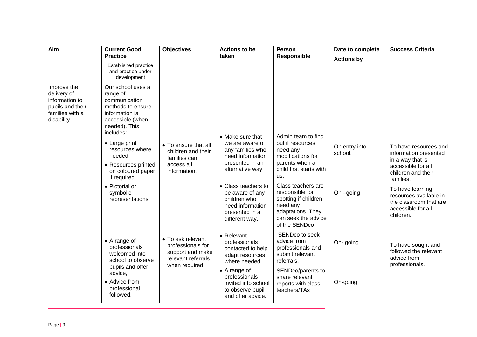| Aim                                                                                               | <b>Current Good</b><br><b>Practice</b>                                                                                                                                                                                                                                                             | <b>Objectives</b>                                                                                  | <b>Actions to be</b><br>taken                                                                                                                                                                                                        | Person<br><b>Responsible</b>                                                                                                                                                                                                                                          | Date to complete                      | <b>Success Criteria</b>                                                                                                                                                                                                                |
|---------------------------------------------------------------------------------------------------|----------------------------------------------------------------------------------------------------------------------------------------------------------------------------------------------------------------------------------------------------------------------------------------------------|----------------------------------------------------------------------------------------------------|--------------------------------------------------------------------------------------------------------------------------------------------------------------------------------------------------------------------------------------|-----------------------------------------------------------------------------------------------------------------------------------------------------------------------------------------------------------------------------------------------------------------------|---------------------------------------|----------------------------------------------------------------------------------------------------------------------------------------------------------------------------------------------------------------------------------------|
|                                                                                                   | Established practice<br>and practice under<br>development                                                                                                                                                                                                                                          |                                                                                                    |                                                                                                                                                                                                                                      |                                                                                                                                                                                                                                                                       | <b>Actions by</b>                     |                                                                                                                                                                                                                                        |
| Improve the<br>delivery of<br>information to<br>pupils and their<br>families with a<br>disability | Our school uses a<br>range of<br>communication<br>methods to ensure<br>information is<br>accessible (when<br>needed). This<br>includes:<br>• Large print<br>resources where<br>needed<br>• Resources printed<br>on coloured paper<br>if required.<br>• Pictorial or<br>symbolic<br>representations | • To ensure that all<br>children and their<br>families can<br>access all<br>information.           | • Make sure that<br>we are aware of<br>any families who<br>need information<br>presented in an<br>alternative way.<br>• Class teachers to<br>be aware of any<br>children who<br>need information<br>presented in a<br>different way. | Admin team to find<br>out if resources<br>need any<br>modifications for<br>parents when a<br>child first starts with<br>us.<br>Class teachers are<br>responsible for<br>spotting if children<br>need any<br>adaptations. They<br>can seek the advice<br>of the SENDco | On entry into<br>school.<br>On -going | To have resources and<br>information presented<br>in a way that is<br>accessible for all<br>children and their<br>families.<br>To have learning<br>resources available in<br>the classroom that are<br>accessible for all<br>children. |
|                                                                                                   | $\bullet$ A range of<br>professionals<br>welcomed into<br>school to observe<br>pupils and offer<br>advice,<br>• Advice from<br>professional<br>followed.                                                                                                                                           | • To ask relevant<br>professionals for<br>support and make<br>relevant referrals<br>when required. | • Relevant<br>professionals<br>contacted to help<br>adapt resources<br>where needed.<br>• A range of<br>professionals<br>invited into school<br>to observe pupil<br>and offer advice.                                                | SENDco to seek<br>advice from<br>professionals and<br>submit relevant<br>referrals.<br>SENDco/parents to<br>share relevant<br>reports with class<br>teachers/TAs                                                                                                      | On-going<br>On-going                  | To have sought and<br>followed the relevant<br>advice from<br>professionals.                                                                                                                                                           |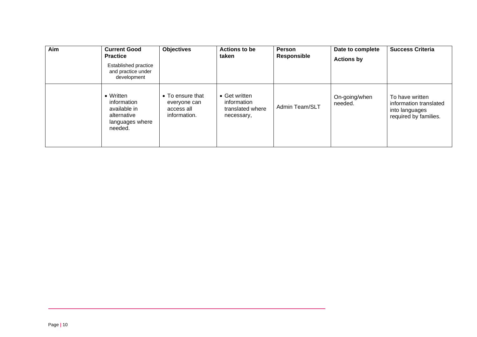| Aim | <b>Current Good</b><br><b>Practice</b><br>Established practice<br>and practice under<br>development | <b>Objectives</b>                                              | <b>Actions to be</b><br>taken                                  | Person<br><b>Responsible</b> | Date to complete<br><b>Actions by</b> | <b>Success Criteria</b>                                                              |
|-----|-----------------------------------------------------------------------------------------------------|----------------------------------------------------------------|----------------------------------------------------------------|------------------------------|---------------------------------------|--------------------------------------------------------------------------------------|
|     | • Written<br>information<br>available in<br>alternative<br>languages where<br>needed.               | • To ensure that<br>everyone can<br>access all<br>information. | • Get written<br>information<br>translated where<br>necessary, | Admin Team/SLT               | On-going/when<br>needed.              | To have written<br>information translated<br>into languages<br>required by families. |